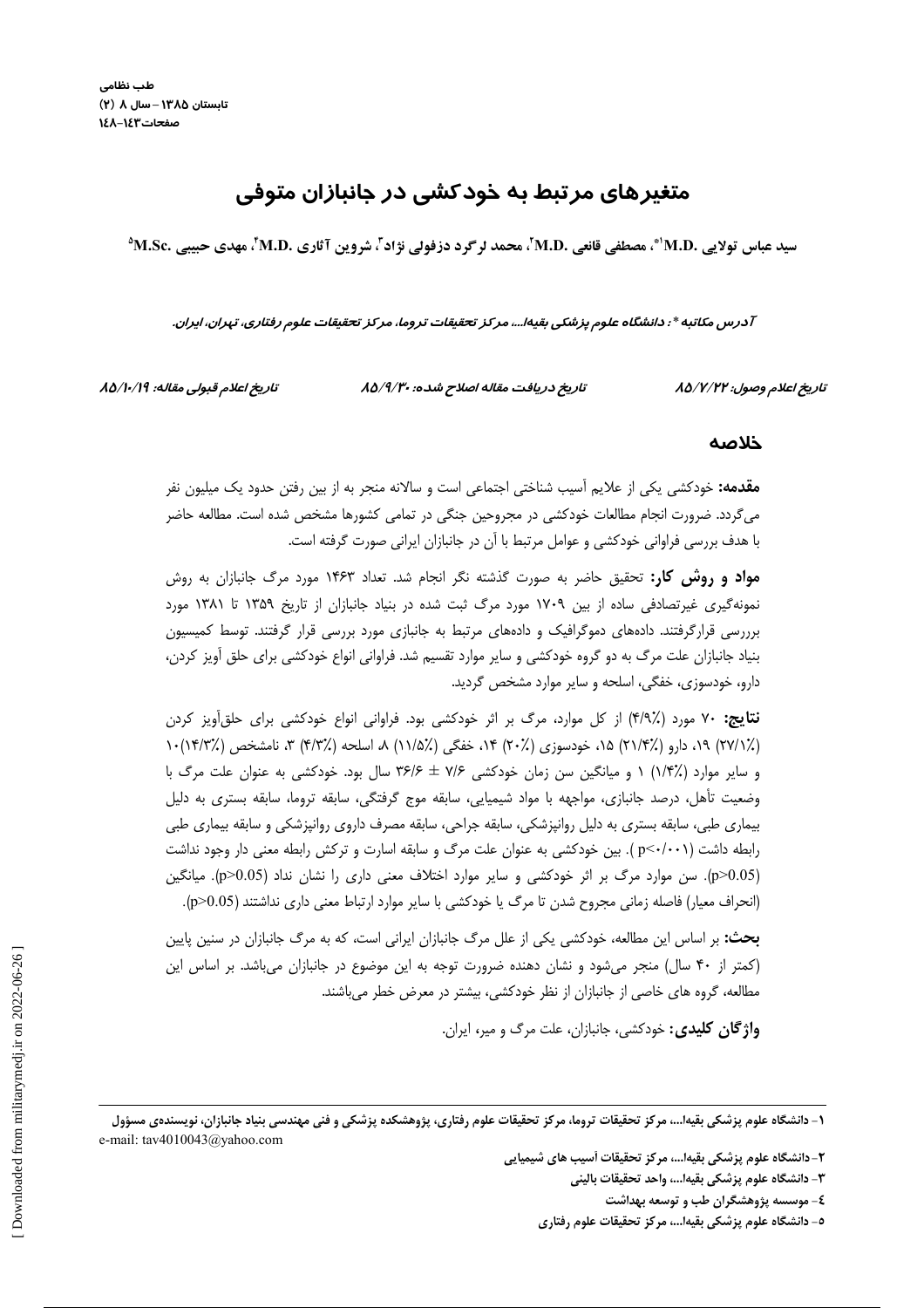# متغیرهای مرتبط به خودکشی در جانبازان متوفی

سيد عباس تولايي .M.D'\*، مصطفى قانعي .M.D'، محمد لرگرد دزفولى نژاد"، شروين آثاري .M.Sc'، مهدي حبيبي .M.Sc

آدرس مکاتبه \* : دانشگاه علوم پزشکی بقیه!...، مرکز تحقیقات تروما، مرکز تحقیقات علوم رفتاری، تهران، ایران.

تاريخ اعلام قبولي مقاله: ٨٥/١٠/١٩

تاریخ دریافت مقاله اصلاح شده: ۸۵/۹/۳۰

تاريخ اعلام وصول: ۸۵/۷/۲۲

### خلاصه

**مقدمه:** خودکشی یکی از علایم اَسیب شناختی اجتماعی است و سالانه منجر به از بین رفتن حدود یک میلیون نفر میگردد. ضرورت انجام مطالعات خودکشی در مجروحین جنگی در تمامی کشورها مشخص شده است. مطالعه حاضر با هدف بررسی فراوانی خودکشی و عوامل مرتبط با آن در جانبازان ایرانی صورت گرفته است.

**مواد و روش کار:** تحقیق حاضر به صورت گذشته نگر انجام شد. تعداد ۱۴۶۳ مورد مرگ جانبازان به روش نمونهگیری غیرتصادفی ساده از بین ۱۷۰۹ مورد مرگ ثبت شده در بنیاد جانبازان از تاریخ ۱۳۵۹ تا ۱۳۸۱ مورد برررسی قرارگرفتند. دادههای دموگرافیک و دادههای مرتبط به جانبازی مورد بررسی قرار گرفتند. توسط کمیسیون بنیاد جانبازان علت مرگ به دو گروه خودکشی و سایر موارد تقسیم شد. فراوانی انواع خودکشی برای حلق آویز کردن، دارو، خودسوزی، خفگی، اسلحه و سایر موارد مشخص گردید.

**نتایج:** ۷۰ مورد (٪۴/۹) از کل موارد، مرگ بر اثر خودکشی بود. فراوانی انواع خودکشی برای حلق آویز کردن (٪٬۱۷۲) ۱۹، دارو (٪۱/۴) ۱۵، خودسوزی (٪۲۰) ۱۴، خفگی (٪۱/۵) ۸، اسلحه (٪۴/۳) ۳، نامشخص (٪۱۴/۳) و سایر موارد (٪۱/۴) ۱ و میانگین سن زمان خودکشی ۷/۶ ± ۳۶/۶ سال بود. خودکشی به عنوان علت مرگ با وضعیت تأهل، درصد جانبازی، مواجهه با مواد شیمیایی، سابقه موج گرفتگی، سابقه تروما، سابقه بستری به دلیل بیماری طبی، سابقه بستری به دلیل روانپزشکی، سابقه جراحی، سابقه مصرف داروی روانپزشکی و سابقه بیماری طبی رابطه داشت (p<-/·۰۱). بین خودکشی به عنوان علت مرگ و سابقه اسارت و ترکش رابطه معنی دار وجود نداشت (p>0.05). سن موارد مرگ بر اثر خودکشی و سایر موارد اختلاف معنی داری را نشان نداد (p>0.05). میانگین (انحراف معیار) فاصله زمانی مجروح شدن تا مرگ یا خودکشی با سایر موارد ارتباط معنی داری نداشتند (p>0.05).

**بحث:** بر اساس این مطالعه، خودکشی یکی از علل مرگ جانبازان ایرانی است، که به مرگ جانبازان در سنین پایین (کمتر از ۴۰ سال) منجر می شود و نشان دهنده ضرورت توجه به این موضوع در جانبازان می باشد. بر اساس این مطالعه، گروه های خاصی از جانبازان از نظر خودکشی، بیشتر در معرض خطر میباشند.

**واژگان کلیدی:** خودکشی، جانبازان، علت مرگ و میر، ایران.

١– دانشگاه علوم پزشكي بقيه!…، مركز تحقيقات تروما، مركز تحقيقات علوم رفتاري، پژوهشكده پزشكي و فني مهندسي بنياد جانبازان، نويسندهي مسؤول e-mail: tav4010043@yahoo.com

۲-دانشگاه علوم پزشکی بقیها...، مرکز تحقیقات آسیب های شیمیایی

- ٣- دانشگاه علوم پزشكى بقيها...، واحد تحقيقات بالينى
	- ٤- موسسه پژوهشگران طب و توسعه بهداشت
- ٥- دانشگاه علوم پزشکی بقیها...، مرکز تحقیقات علوم رفتاری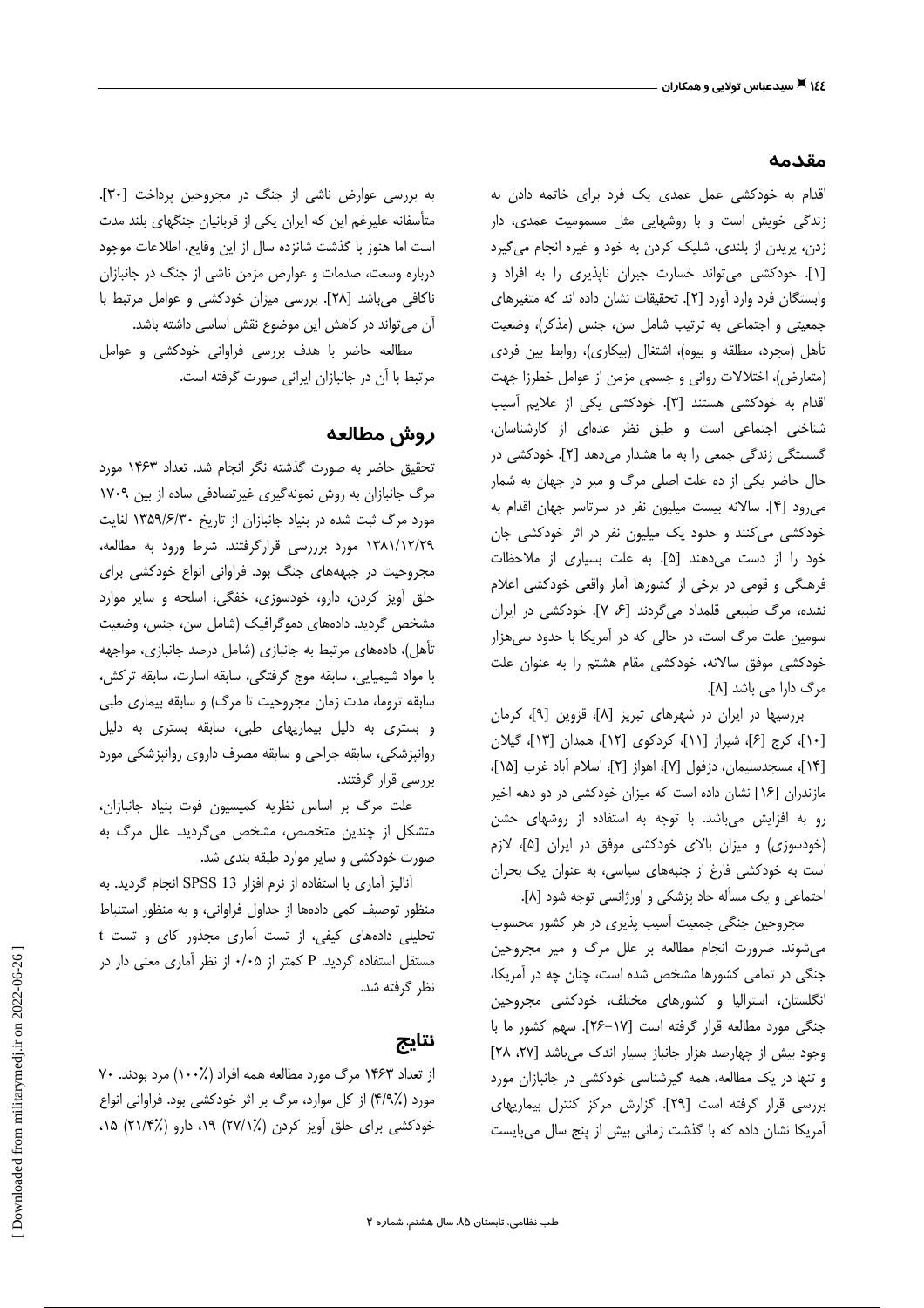#### مقدمه

اقدام به خودکشی عمل عمدی یک فرد برای خاتمه دادن به زندگی خویش است و با روشهایی مثل مسمومیت عمدی، دار زدن، پریدن از بلندی، شلیک کردن به خود و غیره انجام می گیرد [۱]. خودکشی می تواند خسارت جبران ناپذیری را به افراد و وابستگان فرد وارد آورد [۲]. تحقیقات نشان داده اند که متغیرهای جمعیتی و اجتماعی به ترتیب شامل سن، جنس (مذکر)، وضعیت تأهل (مجرد، مطلقه و بیوه)، اشتغال (بیکاری)، روابط بین فردی (متعارض)، اختلالات روانی و جسمی مزمن از عوامل خطرزا جهت اقدام به خودکشی هستند [۳]. خودکشی یکی از علایم آسیب شناختی اجتماعی است و طبق نظر عدهای از کارشناسان، گسستگی زندگی جمعی را به ما هشدار میدهد [۲]. خودکشی در حال حاضر یکی از ده علت اصلی مرگ و میر در جهان به شمار می رود [۴]. سالانه بیست میلیون نفر در سرتاسر جهان اقدام به خودکشی می کنند و حدود یک میلیون نفر در اثر خودکشی جان خود را از دست می دهند [۵]. به علت بسیاری از ملاحظات فرهنگی و قومی در برخی از کشورها آمار واقعی خودکشی اعلام نشده، مرگ طبیعی قلمداد میگردند [۶، ۷]. خودکشی در ایران سومین علت مرگ است، در حالی که در آمریکا با حدود سیهزار خودکشی موفق سالانه، خودکشی مقام هشتم را به عنوان علت مرگ دارا می باشد [۸].

بررسیها در ایران در شهرهای تبریز [۸]، قزوین [۹]، کرمان [۱۰]، کرج [۶]، شیراز [۱۱]، کردکوی [۱۲]، همدان [۱۳]، گیلان [۱۴]، مسجدسليمان، دزفول [۷]، اهواز [۲]، اسلام أباد غرب [۱۵]، مازندران [۱۶] نشان داده است که میزان خودکشی در دو دهه اخیر رو به افزایش میباشد. با توجه به استفاده از روشهای خشن (خودسوزی) و میزان بالای خودکشی موفق در ایران [۵]، لازم است به خودکشی فارغ از جنبههای سیاسی، به عنوان یک بحران اجتماعی و یک مسأله حاد پزشکی و اورژانسی توجه شود [۸].

مجروحین جنگی جمعیت آسیب پذیری در هر کشور محسوب می شوند. ضرورت انجام مطالعه بر علل مرگ و میر مجروحین جنگی در تمامی کشورها مشخص شده است، چنان چه در آمریکا، انگلستان، استرالیا و کشورهای مختلف، خودکشی مجروحین جنگی مورد مطالعه قرار گرفته است [١٧-٢۶]. سهم كشور ما با وجود بیش از چهارصد هزار جانباز بسیار اندک می باشد [۲۷، ۲۸] و تنها در یک مطالعه، همه گیرشناسی خودکشی در جانبازان مورد بررسی قرار گرفته است [٢٩]. گزارش مرکز کنترل بیماریهای آمریکا نشان داده که با گذشت زمانی بیش از پنج سال می بایست

به بررسی عوارض ناشی از جنگ در مجروحین پرداخت [۳۰]. متأسفانه علیرغم این که ایران یکی از قربانیان جنگهای بلند مدت است اما هنوز با گذشت شانزده سال از این وقایع، اطلاعات موجود درباره وسعت، صدمات و عوارض مزمن ناشی از جنگ در جانبازان ناكافي مي باشد [٢٨]. بررسي ميزان خودكشي و عوامل مرتبط با آن می تواند در کاهش این موضوع نقش اساسی داشته باشد.

مطالعه حاضر با هدف بررسی فراوانی خودکشی و عوامل مرتبط با آن در جانبازان ایرانی صورت گرفته است.

### روش مطالعه

تحقیق حاضر به صورت گذشته نگر انجام شد. تعداد ۱۴۶۳ مورد مرگ جانبازان به روش نمونهگیری غیرتصادفی ساده از بین ۱۷۰۹ مورد مرگ ثبت شده در بنیاد جانبازان از تاریخ ۱۳۵۹/۶/۳۰ لغایت ۱۳۸۱/۱۲/۲۹ مورد برررسی قرارگرفتند. شرط ورود به مطالعه، مجروحیت در جبهههای جنگ بود. فراوانی انواع خودکشی برای حلق آویز کردن، دارو، خودسوزی، خفگی، اسلحه و سایر موارد مشخص گردید. دادههای دموگرافیک (شامل سن، جنس، وضعیت تأهل)، دادههای مرتبط به جانبازی (شامل درصد جانبازی، مواجهه با مواد شیمیایی، سابقه موج گرفتگی، سابقه اسارت، سابقه ترکش، سابقه تروما، مدت زمان مجروحیت تا مرگ) و سابقه بیماری طبی و بستری به دلیل بیماریهای طبی، سابقه بستری به دلیل روانپزشکی، سابقه جراحی و سابقه مصرف داروی روانپزشکی مورد بررسی قرار گرفتند.

علت مرگ بر اساس نظریه کمیسیون فوت بنیاد جانبازان، متشکل از چندین متخصص، مشخص میگردید. علل مرگ به صورت خودکشی و سایر موارد طبقه بندی شد.

آنالیز آماری با استفاده از نرم افزار SPSS 13 انجام گردید. به منظور توصیف کمی دادهها از جداول فراوانی، و به منظور استنباط تحلیلی دادههای کیفی، از تست آماری مجذور کای و تست t مستقل استفاده گردید. P کمتر از ۰/۰۵ از نظر آماری معنی دار در نظر گرفته شد.

### نتايج

از تعداد ۱۴۶۳ مرگ مورد مطالعه همه افراد (٪۱۰۰) مرد بودند. ۷۰ مورد (٪۴/۹) از کل موارد، مرگ بر اثر خودکشی بود. فراوانی انواع خودکشی برای حلق آویز کردن (٪۲۷/۱) ۱۹، دارو (٪۲۱/۴) ۱۵،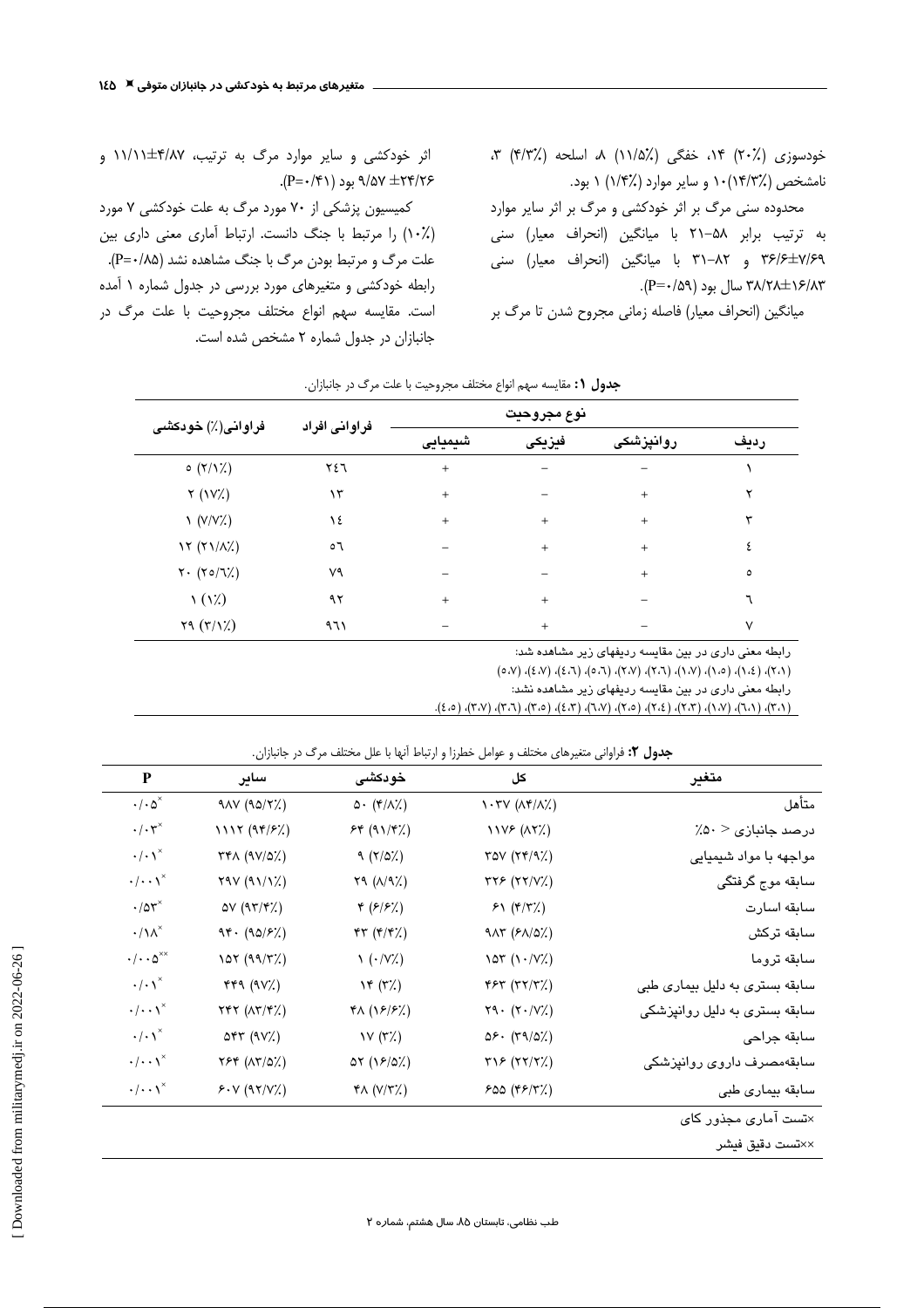خودسوزی (٪۲۰) ۱۴، خفگی (٪۱۱/۵) ۸، اسلحه (٪۴/۳) ۳، نامشخص (۱۴/۳٪)۱۰ و سایر موارد (۱/۴٪) ۱ بود.

محدوده سنی مرگ بر اثر خودکشی و مرگ بر اثر سایر موارد به ترتیب برابر ۵۸–۲۱ با میانگین (انحراف معیار) سنی ۳۶/۶<del>۱۷</del>/۶۹ و ۳۸–۳۱ با میانگین (انحراف معیار) سنی .(P= $\cdot$ /۵۹) سال بود $\Gamma$ ۰/۸۳ $\pm$ ۱۶/۸۳

میانگین (انحراف معیار) فاصله زمانی مجروح شدن تا مرگ بر

اثر خودکشی و سایر موارد مرگ به ترتیب، ۴/۸۷±۱۱/۱۱ و .(P= $\cdot$ /۴۱) بود (۹/۵۲ +P=۰/۴۱).

کمیسیون پزشکی از ۷۰ مورد مرگ به علت خودکشی ۷ مورد (۱۰٪) را مرتبط با جنگ دانست. ارتباط أماری معنی داری بین علت مرگ و مرتبط بودن مرگ با جنگ مشاهده نشد (P=٠/٨۵). رابطه خودکشی و متغیرهای مورد بررسی در جدول شماره ۱ آمده است. مقایسه سهم انواع مختلف مجروحیت با علت مرگ در جانبازان در جدول شماره ۲ مشخص شده است.

| فراوانی(٪) خودکشی                       | فراوانی افراد | نوع مجروحيت |        |           |         |
|-----------------------------------------|---------------|-------------|--------|-----------|---------|
|                                         |               | شیمیایی     | فيزيكى | روانپزشکی | رديف    |
| $\circ$ $(\uparrow/\uparrow\downarrow)$ | ٢٤٦           | $+$         |        |           |         |
| Y (VX)                                  | ۱۳            | $+$         |        | $+$       | ۲       |
| $\Upsilon(V/V\chi)$                     | ۱٤            | $+$         | $+$    | $+$       | ٣       |
| $\lambda Y$ ( $\lambda/\lambda$ )       | ٥٦            |             | $+$    | $+$       | ٤       |
| $Y \cdot (Y \circ /T)/$                 | ٧٩            |             |        | $+$       | $\circ$ |
| $\lambda(\lambda)$                      | ۹۲            | $+$         | $+$    |           |         |
| $Y9 (Y/\gamma)$                         | ۹٦١           |             | $+$    |           | ٧       |

**جدول ۱:** مقايسه سهم انواع مختلف مجروحيت با علت مرگ در جانبازان.

رابطه معنی داری در بین مقایسه ردیفهای زیر مشاهده شد:

 $(0,7)$ ,  $(3,7)$ ,  $(0,7)$ ,  $(0,7)$ ,  $(7,7)$ ,  $(7,7)$ ,  $(7,0)$ ,  $(7,3)$ ,  $(0,3)$ ,  $(0,0)$ 

رابطه معنی داری در بین مقایسه ردیفهای زیر مشاهده نشد:

 $(f \wedge f)$ ,  $(f \wedge f)$ ,  $(f \wedge f)$ ,  $(f \wedge f)$ ,  $(g \wedge f)$ ,  $(g \wedge f)$ ,  $(g \wedge f)$ ,  $(g \wedge f)$ ,  $(g \wedge f)$ ,  $(g \wedge f)$ ,  $(g \wedge f)$ ,  $(g \wedge f)$ ,  $(g \wedge f)$ ,  $(g \wedge f)$ ,  $(g \wedge f)$ ,  $(g \wedge f)$ ,  $(g \wedge f)$ ,  $(g \wedge f)$ ,  $(g \wedge f)$ ,  $(g \wedge f)$ ,  $(g \wedge f)$ ,  $(g \wedge f)$ ,

| متغير                                | کل                                                                   | خودكشى                           | ساير                                 | $\mathbf P$                              |
|--------------------------------------|----------------------------------------------------------------------|----------------------------------|--------------------------------------|------------------------------------------|
| متأهل                                | $\lambda$ . TV ( $\lambda$ $\tau$ / $\lambda$ )                      | $\Delta$ (۴/۸%)                  | 900 (90/7%)                          | $\cdot/\cdot \Delta^{\times}$            |
| $\lambda$ درصد جانبازی $\lambda > 0$ | <b><i>IIVE</i></b> (AYX)                                             | 54 (117)                         | 1117 (97/52)                         | $\cdot/\cdot \tau^*$                     |
| مواجهه با مواد شیمیایی               | $\text{row}(\text{XY}(1, 1))$                                        | $9 (7/\Omega)$                   | YFA(9V/2%)                           | $\cdot/\cdot \gamma^*$                   |
| سابقه موج گرفتگی                     | $\tau \tau$ ( $\tau \tau / V \lambda$ )                              | $Y9(\Lambda/9\%)$                | Y4V (41/1%)                          | $\cdot/\cdot\cdot\gamma^*$               |
| سابقه اسارت                          | 51 (5/7%)                                                            | $*(\epsilon/\epsilon)/\epsilon)$ | $\Delta V$ (9 $\Upsilon/\Upsilon$ %) | $\cdot/\text{or}^{\times}$               |
| سابقه تركش                           | $9\lambda\tau$ ( $8\lambda/2\lambda$ )                               | FT(f/f')                         | 94. (90/5)                           | $\cdot/\lambda^*$                        |
| سابقه تروما                          | $\lambda$ or $(\lambda \cdot / V \lambda)$                           | $\left(\frac{.}{.}\right)$       | 107 (99/T)                           | $\cdot/\cdot\cdot\varphi^{\times\times}$ |
| سابقه بستری به دلیل بیماری طبی       | YY(Y Y)                                                              | Yf(X)                            | YYY (YV)                             | $\cdot/\cdot \gamma^*$                   |
| سابقه بستری به دلیل روانپزشکی        | $Y9 \cdot (Y \cdot /V')$                                             | $Y\wedge (Y\overline{Y})$        | YYY (XY/Y')                          | $\cdot/\cdot\cdot\gamma^*$               |
| سابقه جراحى                          | $\Delta \mathcal{F} \cdot (\Upsilon \mathcal{A}/\Delta \mathcal{L})$ | $V(\tau^{\prime})$               | $\Delta \mathbf{f} \mathbf{r}$ (9V%) | $\cdot/\cdot \setminus^{\times}$         |
| سابقەمصرف داروی روانپزشکی            | YYF(YYX)                                                             | $\Delta Y \; (15/2)$             | $Y$ $Y$ $(1Y/2)$                     | $\cdot/\cdot\cdot\right)^*$              |
| سابقه بیماری طبی                     | 500 (YF/Y')                                                          | $Y \wedge (V/Y')$                | 5. V (97/V/2)                        | $\cdot/\cdot\cdot\right)^{\times}$       |
| ×نست آمار <i>ی</i> مجذور کا <i>ی</i> |                                                                      |                                  |                                      |                                          |
| ××تست دقيق فيشر                      |                                                                      |                                  |                                      |                                          |

**جدول ۲:** فراوانی متغیرهای مختلف و عوامل خطرزا و ارتباط آنها با علل مختلف مرگ در جانبازان.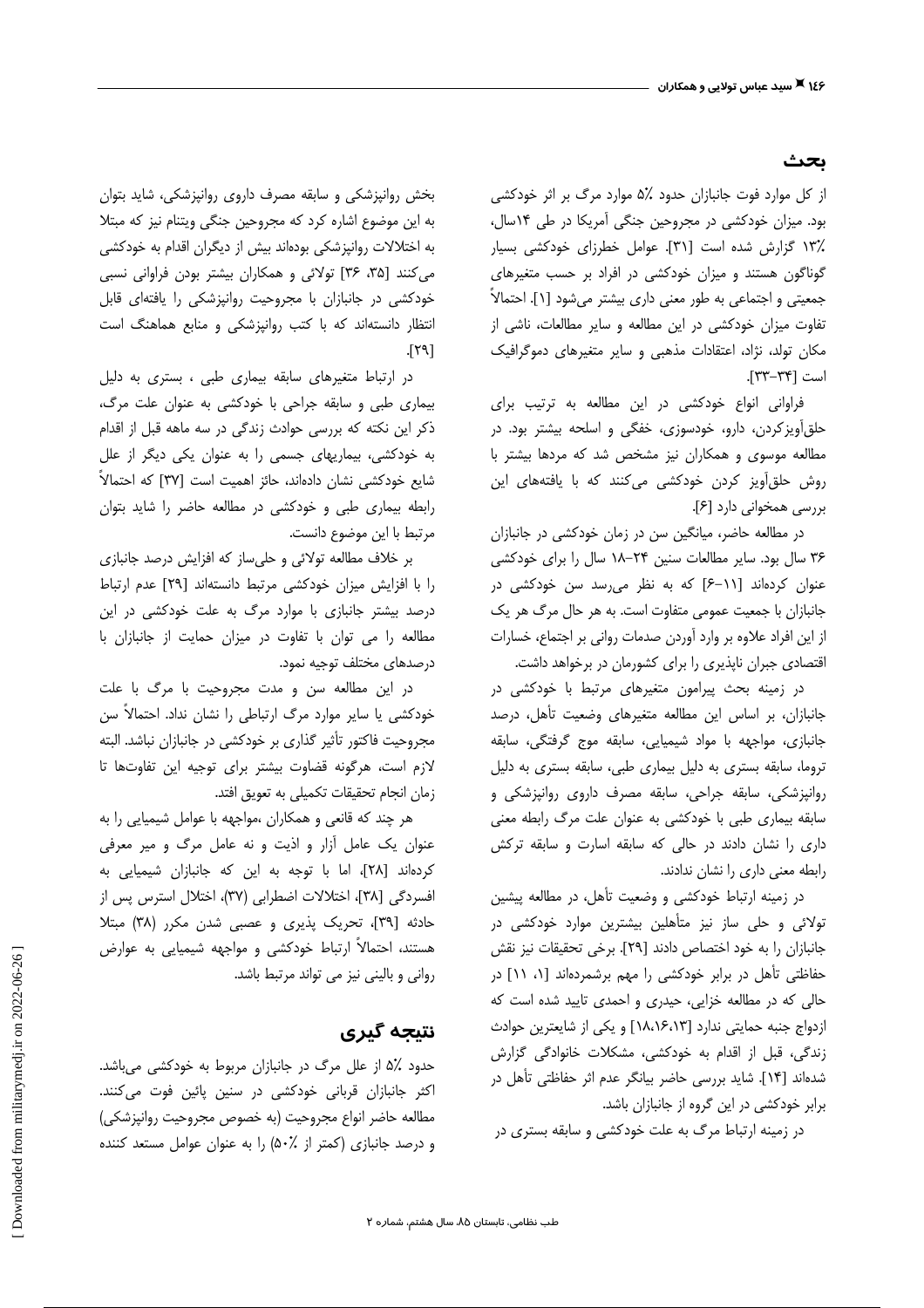#### ىحث

از کل موارد فوت جانبازان حدود ۵٪ موارد مرگ بر اثر خودکشی بود. میزان خودکشی در مجروحین جنگی آمریکا در طی ۱۴سال، .<br>۱۳٪ گزارش شده است [۳۱]. عوامل خطرزای خودکشی بسیار گوناگون هستند و میزان خودکشی در افراد بر حسب متغیرهای جمعیتی و اجتماعی به طور معنی داری بیشتر میشود [۱]. احتمالاً تفاوت میزان خودکشی در این مطالعه و سایر مطالعات، ناشی از مکان تولد، نژاد، اعتقادات مذهبی و سایر متغیرهای دموگرافیک است [٣٣-٣٣].

فراوانی انواع خودکشی در این مطالعه به ترتیب برای حلقأویزکردن، دارو، خودسوزی، خفگی و اسلحه بیشتر بود. در مطالعه موسوی و همکاران نیز مشخص شد که مردها بیشتر با روش حلق آویز کردن خودکشی میکنند که با یافتههای این بررسی همخوانی دارد [۶].

در مطالعه حاضر، میانگین سن در زمان خودکشی در جانبازان ٣۶ سال بود. سایر مطالعات سنین ٢۴-١٨ سال را برای خودکشی عنوان کردهاند [١١-۶] که به نظر می رسد سن خودکشی در جانبازان با جمعیت عمومی متفاوت است. به هر حال مرگ هر یک از این افراد علاوه بر وارد آوردن صدمات روانی بر اجتماع، خسارات اقتصادی جبران ناپذیری را برای کشورمان در برخواهد داشت.

در زمینه بحث پیرامون متغیرهای مرتبط با خودکشی در جانبازان، بر اساس این مطالعه متغیرهای وضعیت تأهل، درصد جانبازي، مواجهه با مواد شيميايي، سابقه موج گرفتگي، سابقه تروما، سابقه بستری به دلیل بیماری طبی، سابقه بستری به دلیل روانپزشکی، سابقه جراحی، سابقه مصرف داروی روانپزشکی و سابقه بیماری طبی با خودکشی به عنوان علت مرگ رابطه معنی داری را نشان دادند در حالی که سابقه اسارت و سابقه ترکش رابطه معنى دارى را نشان ندادند.

در زمینه ارتباط خودکشی و وضعیت تأهل، در مطالعه پیشین تولائی و حلی ساز نیز متأهلین بیشترین موارد خودکشی در جانبازان را به خود اختصاص دادند [٢٩]. برخی تحقیقات نیز نقش حفاظتی تأهل در برابر خودکشی را مهم برشمردهاند [۱، ۱۱] در حالي كه در مطالعه خزايي، حيدري و احمدي تاييد شده است كه ازدواج جنبه حمایتی ندارد [١٨،١۶،١٣] و یکی از شایعترین حوادث زندگی، قبل از اقدام به خودکشی، مشکلات خانوادگی گزارش شدهاند [۱۴]. شاید بررسی حاضر بیانگر عدم اثر حفاظتی تأهل در برابر خودکشی در این گروه از جانبازان باشد.

در زمینه ارتباط مرگ به علت خودکشی و سابقه بستری در

بخش روانپزشکی و سابقه مصرف داروی روانپزشکی، شاید بتوان به این موضوع اشاره کرد که مجروحین جنگی ویتنام نیز که مبتلا به اختلالات روانپزشکی بودهاند بیش از دیگران اقدام به خودکشی می کنند [۳۵، ۳۶] تولائی و همکاران بیشتر بودن فراوانی نسبی خودکشی در جانبازان با مجروحیت روانپزشکی را یافتهای قابل انتظار دانستهاند که با کتب روانپزشکی و منابع هماهنگ است  $[T4]$ 

در ارتباط متغیرهای سابقه بیماری طبی ، بستری به دلیل بیماری طبی و سابقه جراحی با خودکشی به عنوان علت مرگ، ذکر این نکته که بررسی حوادث زندگی در سه ماهه قبل از اقدام به خودکشی، بیماریهای جسمی را به عنوان یکی دیگر از علل شایع خودکشی نشان دادهاند، حائز اهمیت است [۳۷] که احتمالاً رابطه بیماری طبی و خودکشی در مطالعه حاضر را شاید بتوان مرتبط با این موضوع دانست.

بر خلاف مطالعه تولائی و حلیساز که افزایش درصد جانبازی را با افزایش میزان خودکشی مرتبط دانستهاند [٢٩] عدم ارتباط درصد بیشتر جانبازی با موارد مرگ به علت خودکشی در این مطالعه را می توان با تفاوت در میزان حمایت از جانبازان با درصدهای مختلف توجیه نمود.

در این مطالعه سن و مدت مجروحیت با مرگ با علت خودکشی یا سایر موارد مرگ ارتباطی را نشان نداد. احتمالاً سن مجروحیت فاکتور تأثیر گذاری بر خودکشی در جانبازان نباشد. البته لازم است، هرگونه قضاوت بیشتر برای توجیه این تفاوتها تا زمان انجام تحقيقات تكميلي به تعويق افتد.

هر چند که قانعی و همکاران ،مواجهه با عوامل شیمیایی را به عنوان یک عامل آزار و اذیت و نه عامل مرگ و میر معرفی کردهاند [٢٨]، اما با توجه به این که جانبازان شیمیایی به افسردگی [۳۸]، اختلالات اضطرابی (۳۷)، اختلال استرس پس از حادثه [٣٩]، تحريک پذيري و عصبي شدن مکرر (٣٨) مبتلا هستند، احتمالاً ارتباط خودکشی و مواجهه شیمیایی به عوارض روانی و بالینی نیز می تواند مرتبط باشد.

## نتىحە گېرى

حدود ۵٪ از علل مرگ در جانبازان مربوط به خودکشی میباشد. اکثر جانبازان قربانی خودکشی در سنین پائین فوت میکنند. مطالعه حاضر انواع مجروحيت (به خصوص مجروحيت روانپزشكي) و درصد جانبازی (کمتر از ۵۰٪) را به عنوان عوامل مستعد کننده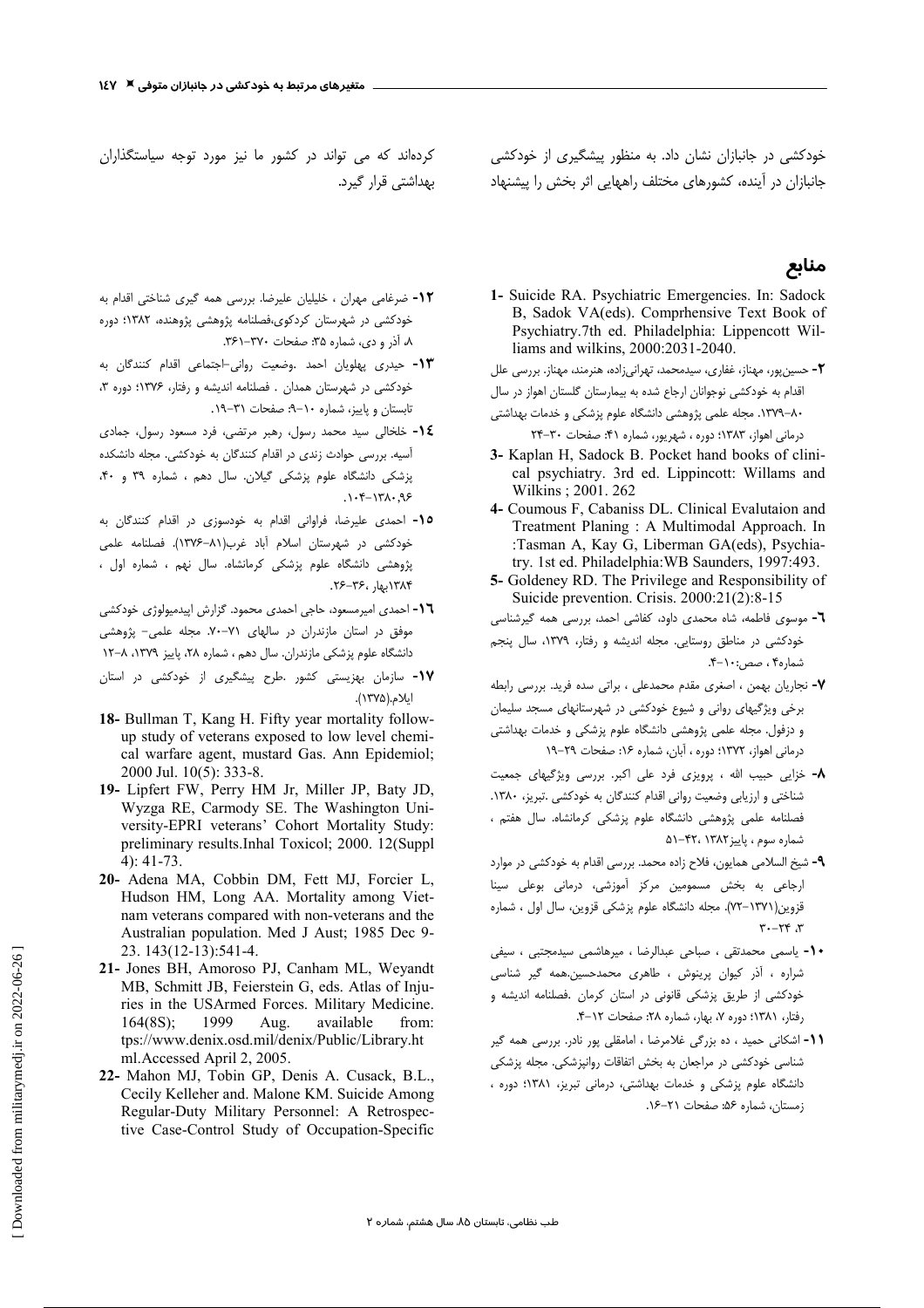کردهاند که می تواند در کشور ما نیز مورد توجه سیاستگذاران بھداشتے ،قرار گیرد.

**1۲-** ضرغامی مهران ، خلیلیان علیرضا. بررسی همه گیری شناختی اقدام به خودکشی در شهرستان کردکوی،فصلنامه پژوهشی پژوهنده، ۱۳۸۲؛ دوره ٨، آذر و دی، شماره ٣۵: صفحات ٣٧٠-٣۶١.

1٣- حيدري پهلويان احمد .وضعيت رواني-اجتماعي اقدام كنندگان به خودکشی در شهرستان همدان . فصلنامه اندیشه و رفتار، ۱۳۷۶؛ دوره ۳، تابستان و پاییز، شماره ۱۰-۹: صفحات ۰۲۱-۱۹.

1٤- خلخالي سيد محمد رسول، رهبر مرتضى، فرد مسعود رسول، جمادى آسیه. بررسی حوادث زندی در اقدام کنندگان به خودکشی. مجله دانشکده پزشکی دانشگاه علوم پزشکی گیلان. سال دهم ، شماره ٣٩ و ۴٠،  $.1 - f - 171 - 99$ 

10- احمدى عليرضا، فراوانى اقدام به خودسوزى در اقدام كنندگان به خودكشى در شهرستان اسلام آباد غرب(٨١–١٣٧۶). فصلنامه علمى پژوهشی دانشگاه علوم پزشکی کرمانشاه. سال نهم ، شماره اول ، ۱۳۸۴بهار ،۳۶–۲۶.

١٦- احمدى اميرمسعود، حاجى احمدى محمود. گزارش اپيدميولوژى خودكشى موفق در استان مازندران در سالهای ٧١-٧٠. مجله علمی- پژوهشی دانشگاه علوم پزشکی مازندران. سال دهم ، شماره ٢٨، پاییز ١٣٧٩، ٨-١٢

- **۱۷-** سازمان بهزیستی کشور .طرح پیشگیری از خودکشی در استان ايلام.(١٣٧۵).
- 18- Bullman T, Kang H. Fifty year mortality followup study of veterans exposed to low level chemical warfare agent, mustard Gas. Ann Epidemiol; 2000 Jul. 10(5): 333-8.
- 19- Lipfert FW, Perry HM Jr, Miller JP, Baty JD, Wyzga RE, Carmody SE. The Washington University-EPRI veterans' Cohort Mortality Study: preliminary results.Inhal Toxicol; 2000. 12(Suppl  $4)$ : 41-73.
- 20- Adena MA, Cobbin DM, Fett MJ, Forcier L, Hudson HM, Long AA. Mortality among Vietnam veterans compared with non-veterans and the Australian population. Med J Aust; 1985 Dec 9-23. 143(12-13):541-4.
- 21- Jones BH, Amoroso PJ, Canham ML, Weyandt MB, Schmitt JB, Feierstein G, eds. Atlas of Injuries in the USArmed Forces. Military Medicine. available  $164(8S);$ 1999 Aug. from. tps://www.denix.osd.mil/denix/Public/Library.ht ml. Accessed April 2, 2005.
- 22- Mahon MJ, Tobin GP, Denis A. Cusack, B.L., Cecily Kelleher and. Malone KM. Suicide Among Regular-Duty Military Personnel: A Retrospective Case-Control Study of Occupation-Specific

خودکشی در جانبازان نشان داد. به منظور پیشگیری از خودکشی جانبازان در آینده، کشورهای مختلف راههایی اثر بخش را پیشنهاد

## منابع

1- Suicide RA. Psychiatric Emergencies. In: Sadock B, Sadok VA(eds). Comprhensive Text Book of Psychiatry.7th ed. Philadelphia: Lippencott Williams and wilkins, 2000:2031-2040.

٢- حسین پور، مهناز، غفاری، سیدمحمد، تهرانی;اده، هنرمند، مهناز. بررسی علل

اقدام به خودکشی نوجوانان ارجاع شده به بیمارستان گلستان اهواز در سال

۸۰–۱۳۷۹. مجله علمی پژوهشی دانشگاه علوم پزشکی و خدمات بهداشتی

درمانی اهواز، ۱۳۸۳؛ دوره ، شهریور، شماره ۴۱: صفحات ۳۰-۲۴

- 3- Kaplan H, Sadock B. Pocket hand books of clinical psychiatry. 3rd ed. Lippincott: Willams and Wilkins: 2001. 262
- 4- Coumous F, Cabaniss DL. Clinical Evalutaion and Treatment Planing: A Multimodal Approach. In :Tasman A, Kay G, Liberman GA(eds), Psychiatry. 1st ed. Philadelphia: WB Saunders, 1997:493.
- 5- Goldeney RD. The Privilege and Responsibility of Suicide prevention. Crisis. 2000:21(2):8-15
- ٦- موسوى فاطمه، شاه محمدى داود، كفاشى احمد، بررسى همه گيرشناسى خودکشی در مناطق روستایی. مجله اندیشه و رفتار، ١٣٧٩، سال پنجم شماره۴ ، صص:۱۰-۴.
- ۰۷- نجاریان بهمن ، اصغری مقدم محمدعلی ، براتی سده فرید. بررسی رابطه برخی ویژگیهای روانی و شیوع خودکشی در شهرستانهای مسجد سلیمان و دزفول. مجله علمی پژوهشی دانشگاه علوم پزشکی و خدمات بهداشتی درمانی اهواز، ۱۳۷۲؛ دوره ، آبان، شماره ۱۶: صفحات ۲۹–۱۹
- **۸-** خزایی حبیب الله ، پرویزی فرد علی اکبر. بررسی ویژگیهای جمعیت شناختی و ارزیابی وضعیت روانی اقدام کنندگان به خودکشی .تبریز، ۱۳۸۰. فصلنامه علمی پژوهشی دانشگاه علوم پزشکی کرمانشاه. سال هفتم ، شماره سوم ، ياييز ١٣٨٢، ٥١-٥١
- ۹- شیخ السلامی همایون، فلاح زاده محمد. بررسی اقدام به خودکشی در موارد ارجاعی به بخش مسمومین مرکز آموزشی، درمانی بوعلی سینا قزوین(۱۳۷۱–۷۲). مجله دانشگاه علوم پزشکی قزوین، سال اول ، شماره  $\mathbf{r}$ .  $\mathbf{r}$
- 1- ياسمى محمدتقى ، صباحى عبدالرضا ، ميرهاشمى سيدمجتبى ، سيفى شراره ، آذر کیوان پرینوش ، طاهری محمدحسین.همه گیر شناسی خودکشی از طریق پزشکی قانونی در استان کرمان .فصلنامه اندیشه و رفتار، ١٣٨١؛ دوره ٧، بهار، شماره ٢٨: صفحات ١٢-۴.
- 11- اشکانی حمید ، ده بزرگی غلامرضا ، امامقلی پور نادر. بررسی همه گیر شناسی خودکشی در مراجعان به بخش اتفاقات روانپزشکی. مجله پزشکی دانشگاه علوم پزشکی و خدمات بهداشتی، درمانی تبریز، ۱۳۸۱؛ دوره ، زمستان، شماره ۵۶: صفحات ۲۱–۱۶.